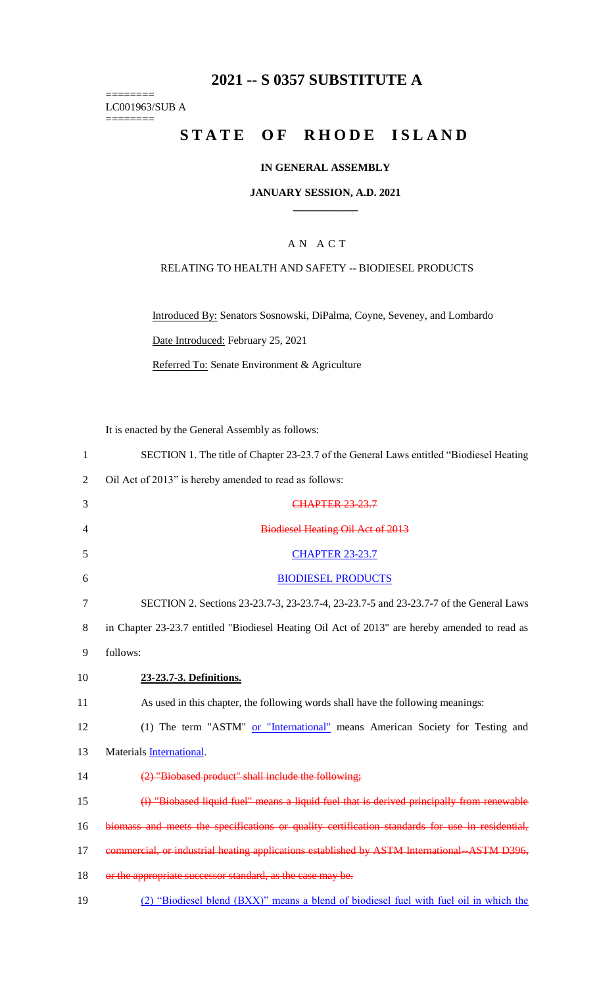## **2021 -- S 0357 SUBSTITUTE A**

======== LC001963/SUB A ========

# **STATE OF RHODE ISLAND**

## **IN GENERAL ASSEMBLY**

### **JANUARY SESSION, A.D. 2021 \_\_\_\_\_\_\_\_\_\_\_\_**

## A N A C T

## RELATING TO HEALTH AND SAFETY -- BIODIESEL PRODUCTS

Introduced By: Senators Sosnowski, DiPalma, Coyne, Seveney, and Lombardo Date Introduced: February 25, 2021 Referred To: Senate Environment & Agriculture

It is enacted by the General Assembly as follows:

| $\mathbf{1}$ | SECTION 1. The title of Chapter 23-23.7 of the General Laws entitled "Biodiesel Heating"        |
|--------------|-------------------------------------------------------------------------------------------------|
| 2            | Oil Act of 2013" is hereby amended to read as follows:                                          |
| 3            | <b>CHAPTER 23-23.7</b>                                                                          |
| 4            | <b>Biodiesel Heating Oil Act of 2013</b>                                                        |
| 5            | <b>CHAPTER 23-23.7</b>                                                                          |
| 6            | <b>BIODIESEL PRODUCTS</b>                                                                       |
| 7            | SECTION 2. Sections 23-23.7-3, 23-23.7-4, 23-23.7-5 and 23-23.7-7 of the General Laws           |
| 8            | in Chapter 23-23.7 entitled "Biodiesel Heating Oil Act of 2013" are hereby amended to read as   |
| 9            | follows:                                                                                        |
| 10           | 23-23.7-3. Definitions.                                                                         |
| 11           | As used in this chapter, the following words shall have the following meanings:                 |
| 12           | (1) The term "ASTM" or "International" means American Society for Testing and                   |
| 13           | Materials International.                                                                        |
| 14           | (2) "Biobased product" shall include the following;                                             |
| 15           | (i) "Biobased liquid fuel" means a liquid fuel that is derived principally from renewable       |
| 16           | biomass and meets the specifications or quality certification standards for use in residential, |
| 17           | commercial, or industrial heating applications established by ASTM International -ASTM D396,    |
| 18           | or the appropriate successor standard, as the case may be.                                      |
| 19           | (2) "Biodiesel blend (BXX)" means a blend of biodiesel fuel with fuel oil in which the          |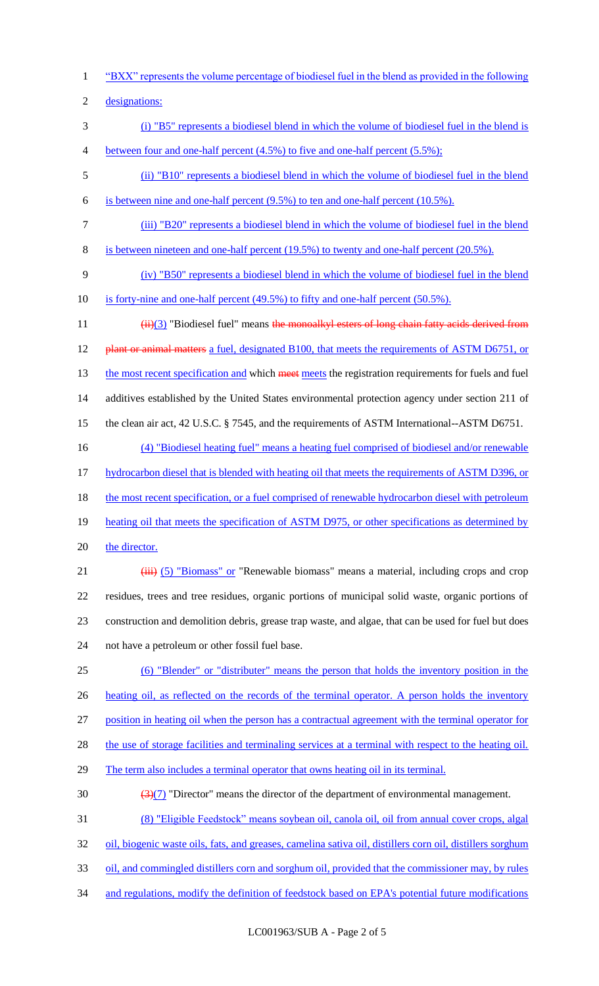1 "BXX" represents the volume percentage of biodiesel fuel in the blend as provided in the following

2 designations:

- 3 (i) "B5" represents a biodiesel blend in which the volume of biodiesel fuel in the blend is 4 between four and one-half percent (4.5%) to five and one-half percent (5.5%);
- 5 (ii) "B10" represents a biodiesel blend in which the volume of biodiesel fuel in the blend 6 is between nine and one-half percent (9.5%) to ten and one-half percent (10.5%).
- 
- 7 (iii) "B20" represents a biodiesel blend in which the volume of biodiesel fuel in the blend
- 8 is between nineteen and one-half percent (19.5%) to twenty and one-half percent (20.5%).
- 9 (iv) "B50" represents a biodiesel blend in which the volume of biodiesel fuel in the blend
- 10 is forty-nine and one-half percent (49.5%) to fifty and one-half percent (50.5%).
- 11 (ii)(3) "Biodiesel fuel" means the monoalkyl esters of long chain fatty acids derived from 12 plant or animal matters a fuel, designated B100, that meets the requirements of ASTM D6751, or 13 the most recent specification and which meet meets the registration requirements for fuels and fuel 14 additives established by the United States environmental protection agency under section 211 of 15 the clean air act, 42 U.S.C. § 7545, and the requirements of ASTM International--ASTM D6751. 16 (4) "Biodiesel heating fuel" means a heating fuel comprised of biodiesel and/or renewable
- 
- 17 hydrocarbon diesel that is blended with heating oil that meets the requirements of ASTM D396, or
- 18 the most recent specification, or a fuel comprised of renewable hydrocarbon diesel with petroleum
- 19 heating oil that meets the specification of ASTM D975, or other specifications as determined by
- 20 the director.
- 21 (iii) (5) "Biomass" or "Renewable biomass" means a material, including crops and crop 22 residues, trees and tree residues, organic portions of municipal solid waste, organic portions of 23 construction and demolition debris, grease trap waste, and algae, that can be used for fuel but does 24 not have a petroleum or other fossil fuel base.
- 25 (6) "Blender" or "distributer" means the person that holds the inventory position in the 26 heating oil, as reflected on the records of the terminal operator. A person holds the inventory
- 27 position in heating oil when the person has a contractual agreement with the terminal operator for
- 28 the use of storage facilities and terminaling services at a terminal with respect to the heating oil.
- 29 The term also includes a terminal operator that owns heating oil in its terminal.
- 30  $\left(\frac{3(7)}{2}\right)$  "Director" means the director of the department of environmental management.
- 31 (8) "Eligible Feedstock" means soybean oil, canola oil, oil from annual cover crops, algal
- 32 oil, biogenic waste oils, fats, and greases, camelina sativa oil, distillers corn oil, distillers sorghum
- 33 oil, and commingled distillers corn and sorghum oil, provided that the commissioner may, by rules
- 34 and regulations, modify the definition of feedstock based on EPA's potential future modifications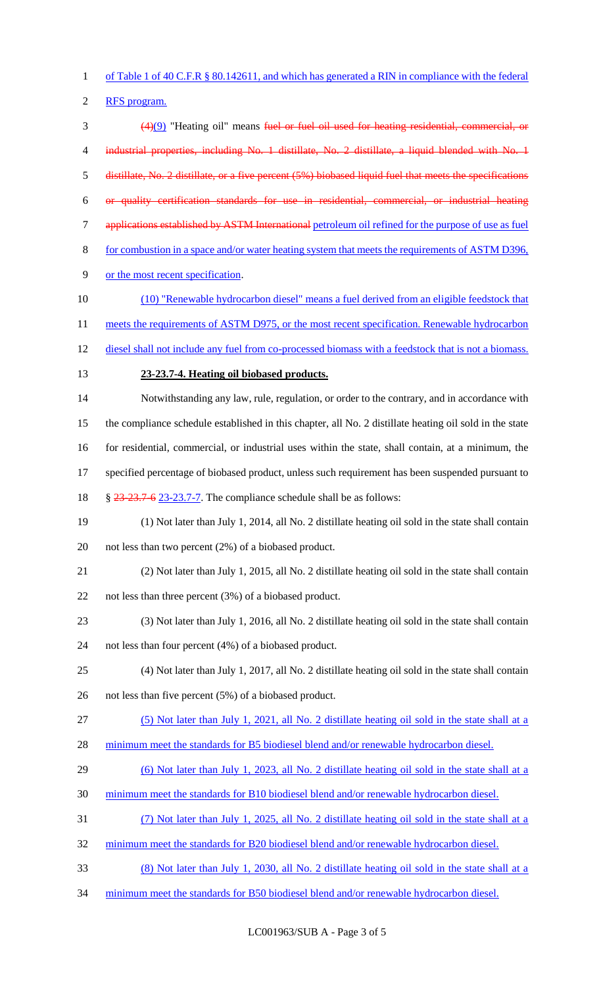of Table 1 of 40 C.F.R § 80.142611, and which has generated a RIN in compliance with the federal

RFS program.

 (4)(9) "Heating oil" means fuel or fuel oil used for heating residential, commercial, or 4 industrial properties, including No. 1 distillate, No. 2 distillate, a liquid blended with No. 1 distillate, No. 2 distillate, or a five percent (5%) biobased liquid fuel that meets the specifications or quality certification standards for use in residential, commercial, or industrial heating applications established by ASTM International petroleum oil refined for the purpose of use as fuel for combustion in a space and/or water heating system that meets the requirements of ASTM D396, or the most recent specification. (10) "Renewable hydrocarbon diesel" means a fuel derived from an eligible feedstock that 11 meets the requirements of ASTM D975, or the most recent specification. Renewable hydrocarbon 12 diesel shall not include any fuel from co-processed biomass with a feedstock that is not a biomass. **23-23.7-4. Heating oil biobased products.** Notwithstanding any law, rule, regulation, or order to the contrary, and in accordance with the compliance schedule established in this chapter, all No. 2 distillate heating oil sold in the state for residential, commercial, or industrial uses within the state, shall contain, at a minimum, the 17 specified percentage of biobased product, unless such requirement has been suspended pursuant to § 23-23.7-6 23-23.7-7. The compliance schedule shall be as follows: (1) Not later than July 1, 2014, all No. 2 distillate heating oil sold in the state shall contain not less than two percent (2%) of a biobased product. (2) Not later than July 1, 2015, all No. 2 distillate heating oil sold in the state shall contain not less than three percent (3%) of a biobased product. (3) Not later than July 1, 2016, all No. 2 distillate heating oil sold in the state shall contain not less than four percent (4%) of a biobased product. (4) Not later than July 1, 2017, all No. 2 distillate heating oil sold in the state shall contain not less than five percent (5%) of a biobased product. (5) Not later than July 1, 2021, all No. 2 distillate heating oil sold in the state shall at a 28 minimum meet the standards for B5 biodiesel blend and/or renewable hydrocarbon diesel. (6) Not later than July 1, 2023, all No. 2 distillate heating oil sold in the state shall at a minimum meet the standards for B10 biodiesel blend and/or renewable hydrocarbon diesel. (7) Not later than July 1, 2025, all No. 2 distillate heating oil sold in the state shall at a 32 minimum meet the standards for B20 biodiesel blend and/or renewable hydrocarbon diesel. (8) Not later than July 1, 2030, all No. 2 distillate heating oil sold in the state shall at a 34 minimum meet the standards for B50 biodiesel blend and/or renewable hydrocarbon diesel.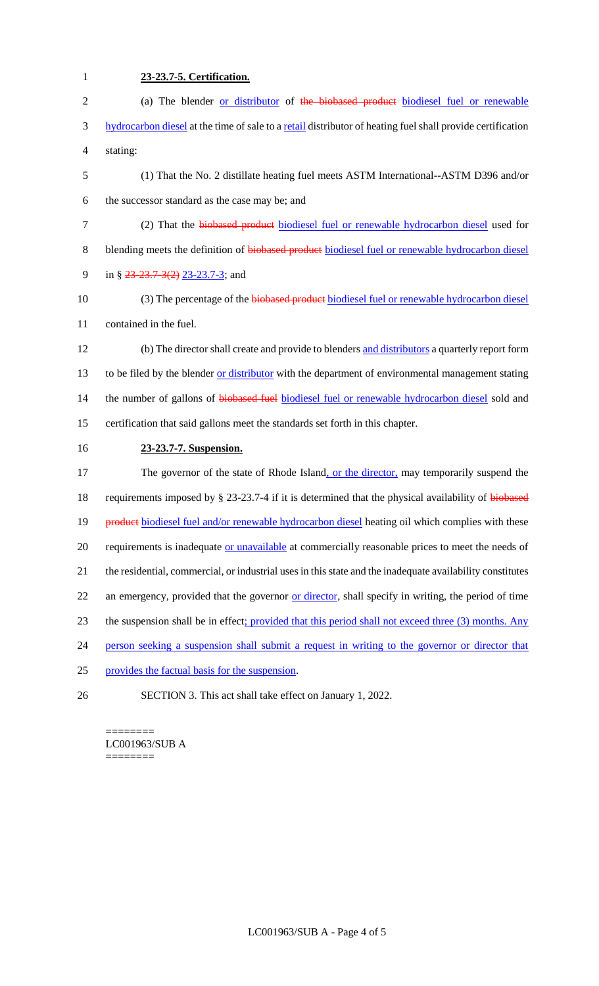| $\mathbf{1}$   | 23-23.7-5. Certification.                                                                                  |
|----------------|------------------------------------------------------------------------------------------------------------|
| $\overline{c}$ | (a) The blender or distributor of the biobased product biodiesel fuel or renewable                         |
| 3              | hydrocarbon diesel at the time of sale to a retail distributor of heating fuel shall provide certification |
| 4              | stating:                                                                                                   |
| 5              | (1) That the No. 2 distillate heating fuel meets ASTM International--ASTM D396 and/or                      |
| 6              | the successor standard as the case may be; and                                                             |
| $\tau$         | (2) That the biobased product biodiesel fuel or renewable hydrocarbon diesel used for                      |
| $8\,$          | blending meets the definition of biobased product biodiesel fuel or renewable hydrocarbon diesel           |
| 9              | in § $23-23.7-3(2)$ 23-23.7-3; and                                                                         |
| 10             | (3) The percentage of the biobased product biodiesel fuel or renewable hydrocarbon diesel                  |
| 11             | contained in the fuel.                                                                                     |
| 12             | (b) The director shall create and provide to blenders and distributors a quarterly report form             |
| 13             | to be filed by the blender or distributor with the department of environmental management stating          |
| 14             | the number of gallons of biobased fuel biodiesel fuel or renewable hydrocarbon diesel sold and             |
| 15             | certification that said gallons meet the standards set forth in this chapter.                              |
| 16             | 23-23.7-7. Suspension.                                                                                     |
| 17             | The governor of the state of Rhode Island, or the director, may temporarily suspend the                    |
| 18             | requirements imposed by § 23-23.7-4 if it is determined that the physical availability of biobased         |
| 19             | product biodiesel fuel and/or renewable hydrocarbon diesel heating oil which complies with these           |
| 20             | requirements is inadequate or unavailable at commercially reasonable prices to meet the needs of           |
| 21             | the residential, commercial, or industrial uses in this state and the inadequate availability constitutes  |
| 22             | an emergency, provided that the governor or director, shall specify in writing, the period of time         |
| 23             | the suspension shall be in effect; provided that this period shall not exceed three (3) months. Any        |
| 24             | person seeking a suspension shall submit a request in writing to the governor or director that             |
| 25             | provides the factual basis for the suspension.                                                             |
| 26             | SECTION 3. This act shall take effect on January 1, 2022.                                                  |

======== LC001963/SUB A ========